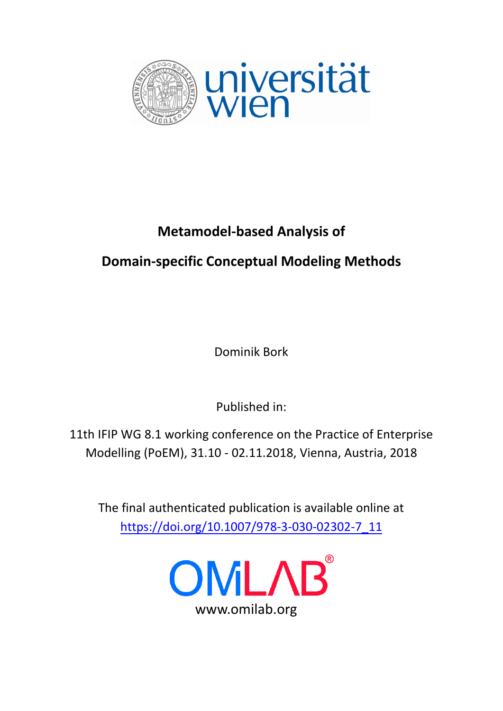

# **Metamodel-based Analysis of**

# **Domain-specific Conceptual Modeling Methods**

Dominik Bork

Published in:

11th IFIP WG 8.1 working conference on the Practice of Enterprise Modelling (PoEM), 31.10 - 02.11.2018, Vienna, Austria, 2018

The final authenticated publication is available online at h[ttps://doi.org/10.1007/978-3-030-02302-7](https://doi.org/10.1007/978-3-030-02302-7_11)\_11

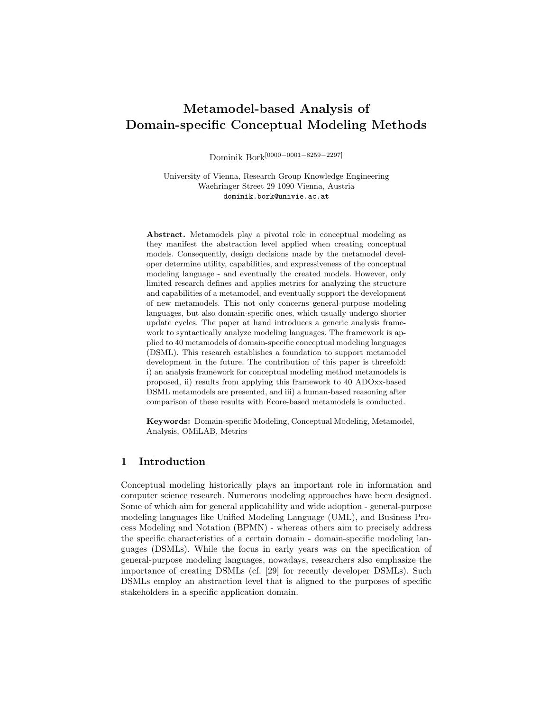# Metamodel-based Analysis of Domain-specific Conceptual Modeling Methods

Dominik Bork[0000−0001−8259−2297]

University of Vienna, Research Group Knowledge Engineering Waehringer Street 29 1090 Vienna, Austria dominik.bork@univie.ac.at

Abstract. Metamodels play a pivotal role in conceptual modeling as they manifest the abstraction level applied when creating conceptual models. Consequently, design decisions made by the metamodel developer determine utility, capabilities, and expressiveness of the conceptual modeling language - and eventually the created models. However, only limited research defines and applies metrics for analyzing the structure and capabilities of a metamodel, and eventually support the development of new metamodels. This not only concerns general-purpose modeling languages, but also domain-specific ones, which usually undergo shorter update cycles. The paper at hand introduces a generic analysis framework to syntactically analyze modeling languages. The framework is applied to 40 metamodels of domain-specific conceptual modeling languages (DSML). This research establishes a foundation to support metamodel development in the future. The contribution of this paper is threefold: i) an analysis framework for conceptual modeling method metamodels is proposed, ii) results from applying this framework to 40 ADOxx-based DSML metamodels are presented, and iii) a human-based reasoning after comparison of these results with Ecore-based metamodels is conducted.

Keywords: Domain-specific Modeling, Conceptual Modeling, Metamodel, Analysis, OMiLAB, Metrics

# 1 Introduction

Conceptual modeling historically plays an important role in information and computer science research. Numerous modeling approaches have been designed. Some of which aim for general applicability and wide adoption - general-purpose modeling languages like Unified Modeling Language (UML), and Business Process Modeling and Notation (BPMN) - whereas others aim to precisely address the specific characteristics of a certain domain - domain-specific modeling languages (DSMLs). While the focus in early years was on the specification of general-purpose modeling languages, nowadays, researchers also emphasize the importance of creating DSMLs (cf. [29] for recently developer DSMLs). Such DSMLs employ an abstraction level that is aligned to the purposes of specific stakeholders in a specific application domain.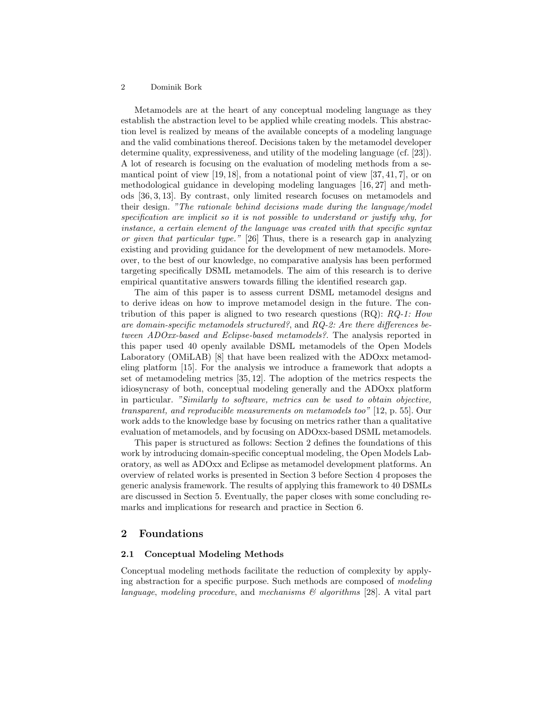Metamodels are at the heart of any conceptual modeling language as they establish the abstraction level to be applied while creating models. This abstraction level is realized by means of the available concepts of a modeling language and the valid combinations thereof. Decisions taken by the metamodel developer determine quality, expressiveness, and utility of the modeling language (cf. [23]). A lot of research is focusing on the evaluation of modeling methods from a semantical point of view  $[19, 18]$ , from a notational point of view  $[37, 41, 7]$ , or on methodological guidance in developing modeling languages [16, 27] and methods [36, 3, 13]. By contrast, only limited research focuses on metamodels and their design. "The rationale behind decisions made during the language/model specification are implicit so it is not possible to understand or justify why, for instance, a certain element of the language was created with that specific syntax or given that particular type." [26] Thus, there is a research gap in analyzing existing and providing guidance for the development of new metamodels. Moreover, to the best of our knowledge, no comparative analysis has been performed targeting specifically DSML metamodels. The aim of this research is to derive empirical quantitative answers towards filling the identified research gap.

The aim of this paper is to assess current DSML metamodel designs and to derive ideas on how to improve metamodel design in the future. The contribution of this paper is aligned to two research questions  $(RQ)$ :  $RQ-1$ : How are domain-specific metamodels structured?, and RQ-2: Are there differences between ADOxx-based and Eclipse-based metamodels?. The analysis reported in this paper used 40 openly available DSML metamodels of the Open Models Laboratory (OMiLAB) [8] that have been realized with the ADOxx metamodeling platform [15]. For the analysis we introduce a framework that adopts a set of metamodeling metrics [35, 12]. The adoption of the metrics respects the idiosyncrasy of both, conceptual modeling generally and the ADOxx platform in particular. "Similarly to software, metrics can be used to obtain objective, transparent, and reproducible measurements on metamodels too" [12, p. 55]. Our work adds to the knowledge base by focusing on metrics rather than a qualitative evaluation of metamodels, and by focusing on ADOxx-based DSML metamodels.

This paper is structured as follows: Section 2 defines the foundations of this work by introducing domain-specific conceptual modeling, the Open Models Laboratory, as well as ADOxx and Eclipse as metamodel development platforms. An overview of related works is presented in Section 3 before Section 4 proposes the generic analysis framework. The results of applying this framework to 40 DSMLs are discussed in Section 5. Eventually, the paper closes with some concluding remarks and implications for research and practice in Section 6.

# 2 Foundations

#### 2.1 Conceptual Modeling Methods

Conceptual modeling methods facilitate the reduction of complexity by applying abstraction for a specific purpose. Such methods are composed of modeling language, modeling procedure, and mechanisms  $\mathcal{B}$  algorithms [28]. A vital part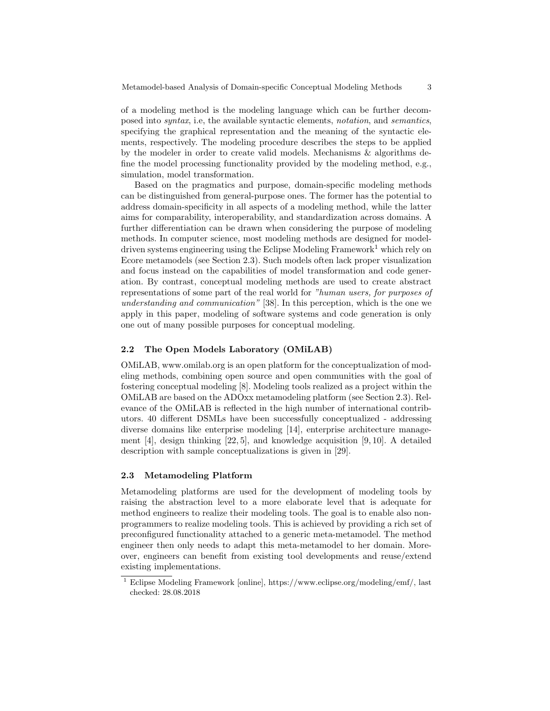of a modeling method is the modeling language which can be further decomposed into syntax, i.e, the available syntactic elements, notation, and semantics, specifying the graphical representation and the meaning of the syntactic elements, respectively. The modeling procedure describes the steps to be applied by the modeler in order to create valid models. Mechanisms & algorithms define the model processing functionality provided by the modeling method, e.g., simulation, model transformation.

Based on the pragmatics and purpose, domain-specific modeling methods can be distinguished from general-purpose ones. The former has the potential to address domain-specificity in all aspects of a modeling method, while the latter aims for comparability, interoperability, and standardization across domains. A further differentiation can be drawn when considering the purpose of modeling methods. In computer science, most modeling methods are designed for modeldriven systems engineering using the Eclipse Modeling Framework<sup>1</sup> which rely on Ecore metamodels (see Section 2.3). Such models often lack proper visualization and focus instead on the capabilities of model transformation and code generation. By contrast, conceptual modeling methods are used to create abstract representations of some part of the real world for "human users, for purposes of understanding and communication" [38]. In this perception, which is the one we apply in this paper, modeling of software systems and code generation is only one out of many possible purposes for conceptual modeling.

### 2.2 The Open Models Laboratory (OMiLAB)

OMiLAB, www.omilab.org is an open platform for the conceptualization of modeling methods, combining open source and open communities with the goal of fostering conceptual modeling [8]. Modeling tools realized as a project within the OMiLAB are based on the ADOxx metamodeling platform (see Section 2.3). Relevance of the OMiLAB is reflected in the high number of international contributors. 40 different DSMLs have been successfully conceptualized - addressing diverse domains like enterprise modeling [14], enterprise architecture management  $[4]$ , design thinking  $[22, 5]$ , and knowledge acquisition  $[9, 10]$ . A detailed description with sample conceptualizations is given in [29].

#### 2.3 Metamodeling Platform

Metamodeling platforms are used for the development of modeling tools by raising the abstraction level to a more elaborate level that is adequate for method engineers to realize their modeling tools. The goal is to enable also nonprogrammers to realize modeling tools. This is achieved by providing a rich set of preconfigured functionality attached to a generic meta-metamodel. The method engineer then only needs to adapt this meta-metamodel to her domain. Moreover, engineers can benefit from existing tool developments and reuse/extend existing implementations.

<sup>1</sup> Eclipse Modeling Framework [online], https://www.eclipse.org/modeling/emf/, last checked: 28.08.2018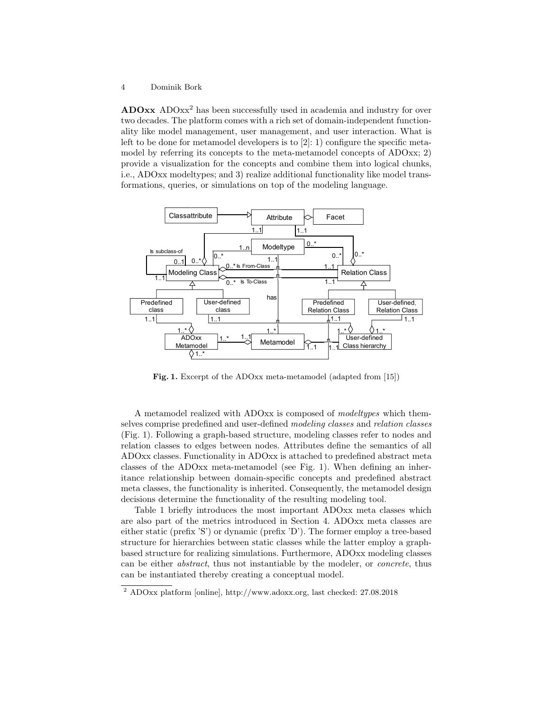ADOxx ADOxx<sup>2</sup> has been successfully used in academia and industry for over two decades. The platform comes with a rich set of domain-independent functionality like model management, user management, and user interaction. What is left to be done for metamodel developers is to [2]: 1) configure the specific metamodel by referring its concepts to the meta-metamodel concepts of ADOxx; 2) provide a visualization for the concepts and combine them into logical chunks, i.e., ADOxx modeltypes; and 3) realize additional functionality like model transformations, queries, or simulations on top of the modeling language.



Fig. 1. Excerpt of the ADOxx meta-metamodel (adapted from [15])

A metamodel realized with ADOxx is composed of modeltypes which themselves comprise predefined and user-defined modeling classes and relation classes (Fig. 1). Following a graph-based structure, modeling classes refer to nodes and relation classes to edges between nodes. Attributes define the semantics of all ADOxx classes. Functionality in ADOxx is attached to predefined abstract meta classes of the ADOxx meta-metamodel (see Fig. 1). When defining an inheritance relationship between domain-specific concepts and predefined abstract meta classes, the functionality is inherited. Consequently, the metamodel design decisions determine the functionality of the resulting modeling tool.

Table 1 briefly introduces the most important ADOxx meta classes which are also part of the metrics introduced in Section 4. ADOxx meta classes are either static (prefix 'S') or dynamic (prefix 'D'). The former employ a tree-based structure for hierarchies between static classes while the latter employ a graphbased structure for realizing simulations. Furthermore, ADOxx modeling classes can be either abstract, thus not instantiable by the modeler, or concrete, thus can be instantiated thereby creating a conceptual model.

<sup>2</sup> ADOxx platform [online], http://www.adoxx.org, last checked: 27.08.2018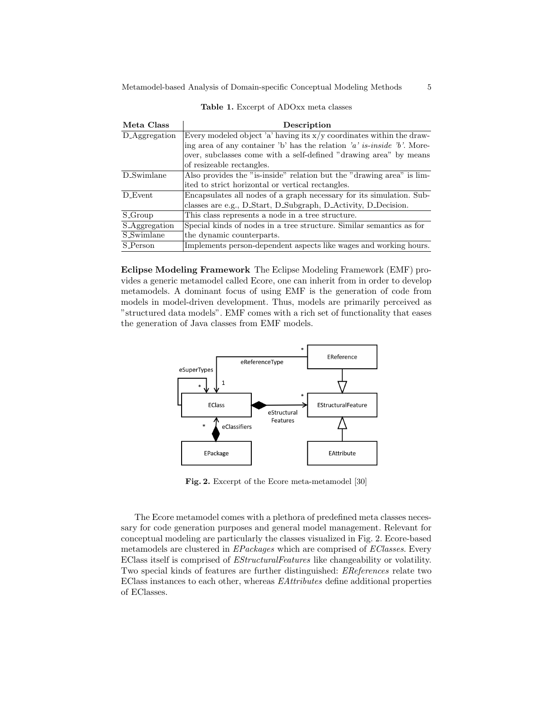| Meta Class           | Description                                                             |  |  |  |
|----------------------|-------------------------------------------------------------------------|--|--|--|
| D_Aggregation        | Every modeled object 'a' having its $x/y$ coordinates within the draw-  |  |  |  |
|                      | ing area of any container 'b' has the relation 'a' is-inside 'b'. More- |  |  |  |
|                      | over, subclasses come with a self-defined "drawing area" by means       |  |  |  |
|                      | of resizeable rectangles.                                               |  |  |  |
| D_Swimlane           | Also provides the "is-inside" relation but the "drawing area" is lim-   |  |  |  |
|                      | ited to strict horizontal or vertical rectangles.                       |  |  |  |
| D_Event              | Encapsulates all nodes of a graph necessary for its simulation. Sub-    |  |  |  |
|                      | classes are e.g., D.Start, D.Subgraph, D.Activity, D.Decision.          |  |  |  |
| S_Group              | This class represents a node in a tree structure.                       |  |  |  |
| <b>S_Aggregation</b> | Special kinds of nodes in a tree structure. Similar semantics as for    |  |  |  |
| <b>S_Swimlane</b>    | the dynamic counterparts.                                               |  |  |  |
| <b>S_Person</b>      | Implements person-dependent aspects like wages and working hours.       |  |  |  |

Table 1. Excerpt of ADOxx meta classes

Eclipse Modeling Framework The Eclipse Modeling Framework (EMF) provides a generic metamodel called Ecore, one can inherit from in order to develop metamodels. A dominant focus of using EMF is the generation of code from models in model-driven development. Thus, models are primarily perceived as "structured data models". EMF comes with a rich set of functionality that eases the generation of Java classes from EMF models.



Fig. 2. Excerpt of the Ecore meta-metamodel [30]

The Ecore metamodel comes with a plethora of predefined meta classes necessary for code generation purposes and general model management. Relevant for conceptual modeling are particularly the classes visualized in Fig. 2. Ecore-based metamodels are clustered in EPackages which are comprised of EClasses. Every EClass itself is comprised of EStructuralFeatures like changeability or volatility. Two special kinds of features are further distinguished: EReferences relate two EClass instances to each other, whereas EAttributes define additional properties of EClasses.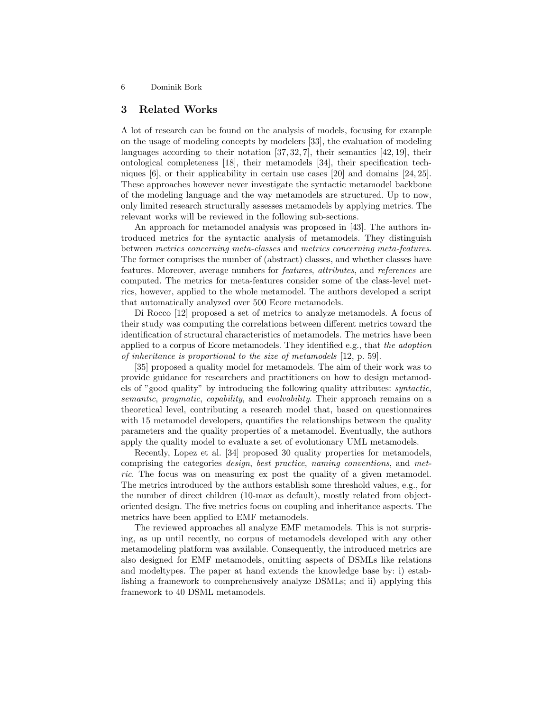# 3 Related Works

A lot of research can be found on the analysis of models, focusing for example on the usage of modeling concepts by modelers [33], the evaluation of modeling languages according to their notation [37, 32, 7], their semantics [42, 19], their ontological completeness [18], their metamodels [34], their specification techniques [6], or their applicability in certain use cases [20] and domains [24, 25]. These approaches however never investigate the syntactic metamodel backbone of the modeling language and the way metamodels are structured. Up to now, only limited research structurally assesses metamodels by applying metrics. The relevant works will be reviewed in the following sub-sections.

An approach for metamodel analysis was proposed in [43]. The authors introduced metrics for the syntactic analysis of metamodels. They distinguish between metrics concerning meta-classes and metrics concerning meta-features. The former comprises the number of (abstract) classes, and whether classes have features. Moreover, average numbers for features, attributes, and references are computed. The metrics for meta-features consider some of the class-level metrics, however, applied to the whole metamodel. The authors developed a script that automatically analyzed over 500 Ecore metamodels.

Di Rocco [12] proposed a set of metrics to analyze metamodels. A focus of their study was computing the correlations between different metrics toward the identification of structural characteristics of metamodels. The metrics have been applied to a corpus of Ecore metamodels. They identified e.g., that the adoption of inheritance is proportional to the size of metamodels [12, p. 59].

[35] proposed a quality model for metamodels. The aim of their work was to provide guidance for researchers and practitioners on how to design metamodels of "good quality" by introducing the following quality attributes: syntactic, semantic, pragmatic, capability, and evolvability. Their approach remains on a theoretical level, contributing a research model that, based on questionnaires with 15 metamodel developers, quantifies the relationships between the quality parameters and the quality properties of a metamodel. Eventually, the authors apply the quality model to evaluate a set of evolutionary UML metamodels.

Recently, Lopez et al. [34] proposed 30 quality properties for metamodels, comprising the categories design, best practice, naming conventions, and metric. The focus was on measuring ex post the quality of a given metamodel. The metrics introduced by the authors establish some threshold values, e.g., for the number of direct children (10-max as default), mostly related from objectoriented design. The five metrics focus on coupling and inheritance aspects. The metrics have been applied to EMF metamodels.

The reviewed approaches all analyze EMF metamodels. This is not surprising, as up until recently, no corpus of metamodels developed with any other metamodeling platform was available. Consequently, the introduced metrics are also designed for EMF metamodels, omitting aspects of DSMLs like relations and modeltypes. The paper at hand extends the knowledge base by: i) establishing a framework to comprehensively analyze DSMLs; and ii) applying this framework to 40 DSML metamodels.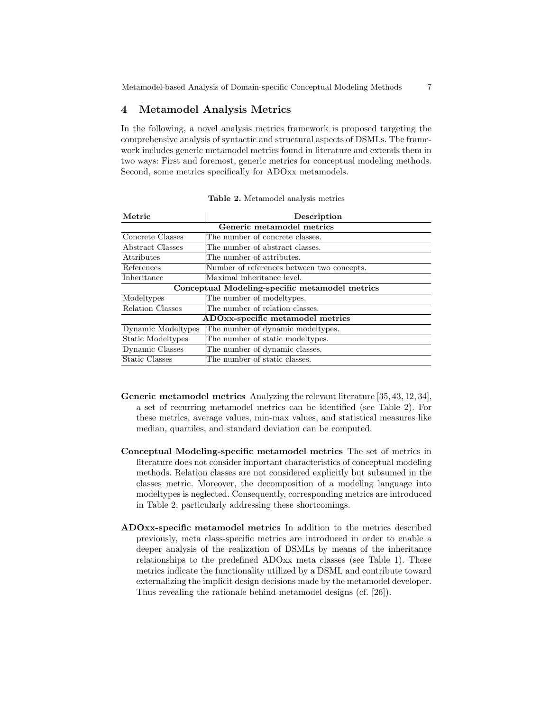# 4 Metamodel Analysis Metrics

In the following, a novel analysis metrics framework is proposed targeting the comprehensive analysis of syntactic and structural aspects of DSMLs. The framework includes generic metamodel metrics found in literature and extends them in two ways: First and foremost, generic metrics for conceptual modeling methods. Second, some metrics specifically for ADOxx metamodels.

| Metric                                         | Description                                |  |  |  |  |
|------------------------------------------------|--------------------------------------------|--|--|--|--|
| Generic metamodel metrics                      |                                            |  |  |  |  |
| Concrete Classes                               | The number of concrete classes.            |  |  |  |  |
| Abstract Classes                               | The number of abstract classes.            |  |  |  |  |
| Attributes                                     | The number of attributes.                  |  |  |  |  |
| References                                     | Number of references between two concepts. |  |  |  |  |
| Inheritance                                    | Maximal inheritance level.                 |  |  |  |  |
| Conceptual Modeling-specific metamodel metrics |                                            |  |  |  |  |
| Modeltypes                                     | The number of model types.                 |  |  |  |  |
| Relation Classes                               | The number of relation classes.            |  |  |  |  |
| ADOxx-specific metamodel metrics               |                                            |  |  |  |  |
| Dynamic Modeltypes                             | The number of dynamic modeltypes.          |  |  |  |  |
| Static Modeltypes                              | The number of static model types.          |  |  |  |  |
| Dynamic Classes                                | The number of dynamic classes.             |  |  |  |  |
| Static Classes                                 | The number of static classes.              |  |  |  |  |

Table 2. Metamodel analysis metrics

- Generic metamodel metrics Analyzing the relevant literature [35, 43, 12, 34], a set of recurring metamodel metrics can be identified (see Table 2). For these metrics, average values, min-max values, and statistical measures like median, quartiles, and standard deviation can be computed.
- Conceptual Modeling-specific metamodel metrics The set of metrics in literature does not consider important characteristics of conceptual modeling methods. Relation classes are not considered explicitly but subsumed in the classes metric. Moreover, the decomposition of a modeling language into modeltypes is neglected. Consequently, corresponding metrics are introduced in Table 2, particularly addressing these shortcomings.
- ADOxx-specific metamodel metrics In addition to the metrics described previously, meta class-specific metrics are introduced in order to enable a deeper analysis of the realization of DSMLs by means of the inheritance relationships to the predefined ADOxx meta classes (see Table 1). These metrics indicate the functionality utilized by a DSML and contribute toward externalizing the implicit design decisions made by the metamodel developer. Thus revealing the rationale behind metamodel designs (cf. [26]).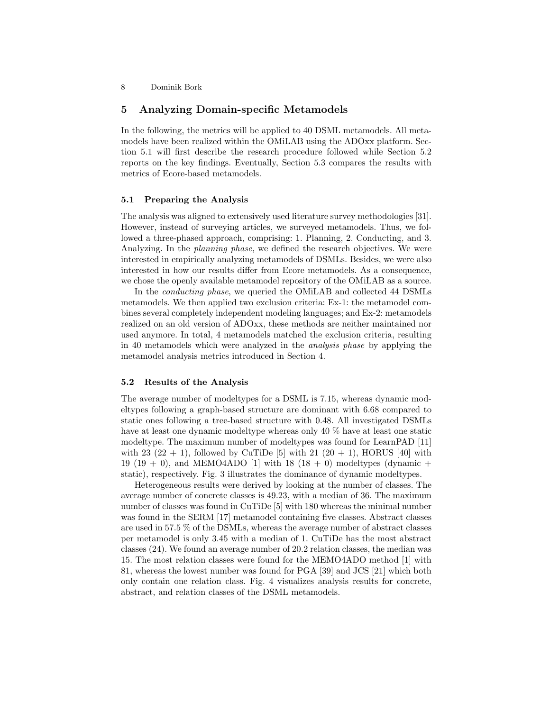# 5 Analyzing Domain-specific Metamodels

In the following, the metrics will be applied to 40 DSML metamodels. All metamodels have been realized within the OMiLAB using the ADOxx platform. Section 5.1 will first describe the research procedure followed while Section 5.2 reports on the key findings. Eventually, Section 5.3 compares the results with metrics of Ecore-based metamodels.

#### 5.1 Preparing the Analysis

The analysis was aligned to extensively used literature survey methodologies [31]. However, instead of surveying articles, we surveyed metamodels. Thus, we followed a three-phased approach, comprising: 1. Planning, 2. Conducting, and 3. Analyzing. In the *planning phase*, we defined the research objectives. We were interested in empirically analyzing metamodels of DSMLs. Besides, we were also interested in how our results differ from Ecore metamodels. As a consequence, we chose the openly available metamodel repository of the OMiLAB as a source.

In the conducting phase, we queried the OMiLAB and collected 44 DSMLs metamodels. We then applied two exclusion criteria: Ex-1: the metamodel combines several completely independent modeling languages; and Ex-2: metamodels realized on an old version of ADOxx, these methods are neither maintained nor used anymore. In total, 4 metamodels matched the exclusion criteria, resulting in 40 metamodels which were analyzed in the analysis phase by applying the metamodel analysis metrics introduced in Section 4.

#### 5.2 Results of the Analysis

The average number of modeltypes for a DSML is 7.15, whereas dynamic modeltypes following a graph-based structure are dominant with 6.68 compared to static ones following a tree-based structure with 0.48. All investigated DSMLs have at least one dynamic modeltype whereas only 40 % have at least one static modeltype. The maximum number of modeltypes was found for LearnPAD [11] with 23  $(22 + 1)$ , followed by CuTiDe [5] with 21  $(20 + 1)$ , HORUS [40] with 19 (19 + 0), and MEMO4ADO [1] with 18 (18 + 0) modeltypes (dynamic + static), respectively. Fig. 3 illustrates the dominance of dynamic modeltypes.

Heterogeneous results were derived by looking at the number of classes. The average number of concrete classes is 49.23, with a median of 36. The maximum number of classes was found in CuTiDe [5] with 180 whereas the minimal number was found in the SERM [17] metamodel containing five classes. Abstract classes are used in 57.5 % of the DSMLs, whereas the average number of abstract classes per metamodel is only 3.45 with a median of 1. CuTiDe has the most abstract classes (24). We found an average number of 20.2 relation classes, the median was 15. The most relation classes were found for the MEMO4ADO method [1] with 81, whereas the lowest number was found for PGA [39] and JCS [21] which both only contain one relation class. Fig. 4 visualizes analysis results for concrete, abstract, and relation classes of the DSML metamodels.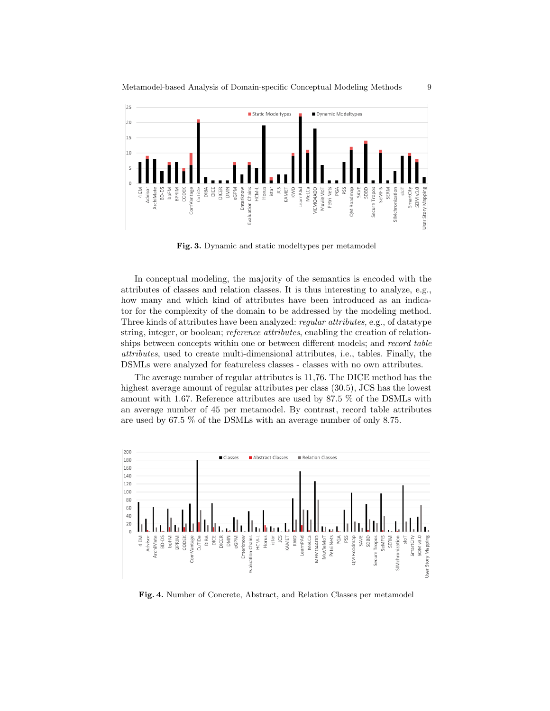

Fig. 3. Dynamic and static modeltypes per metamodel

In conceptual modeling, the majority of the semantics is encoded with the attributes of classes and relation classes. It is thus interesting to analyze, e.g., how many and which kind of attributes have been introduced as an indicator for the complexity of the domain to be addressed by the modeling method. Three kinds of attributes have been analyzed: regular attributes, e.g., of datatype string, integer, or boolean; *reference attributes*, enabling the creation of relationships between concepts within one or between different models; and record table attributes, used to create multi-dimensional attributes, i.e., tables. Finally, the DSMLs were analyzed for featureless classes - classes with no own attributes.

The average number of regular attributes is 11,76. The DICE method has the highest average amount of regular attributes per class (30.5), JCS has the lowest amount with 1.67. Reference attributes are used by 87.5 % of the DSMLs with an average number of 45 per metamodel. By contrast, record table attributes are used by 67.5 % of the DSMLs with an average number of only 8.75.



Fig. 4. Number of Concrete, Abstract, and Relation Classes per metamodel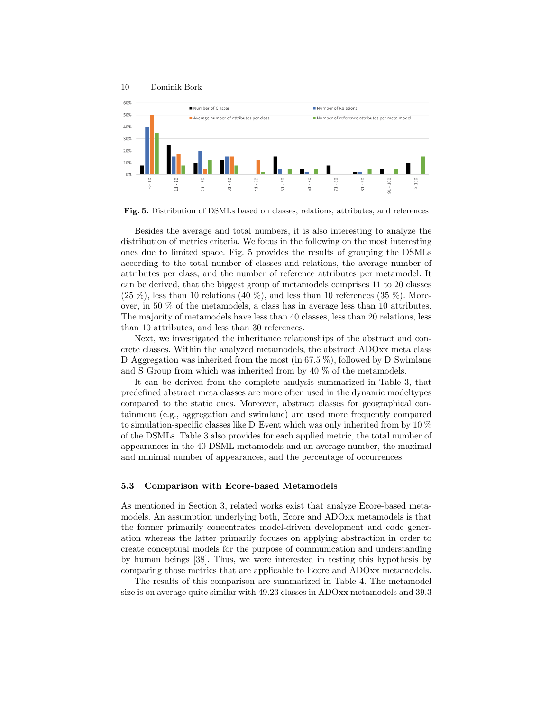

Fig. 5. Distribution of DSMLs based on classes, relations, attributes, and references

Besides the average and total numbers, it is also interesting to analyze the distribution of metrics criteria. We focus in the following on the most interesting ones due to limited space. Fig. 5 provides the results of grouping the DSMLs according to the total number of classes and relations, the average number of attributes per class, and the number of reference attributes per metamodel. It can be derived, that the biggest group of metamodels comprises 11 to 20 classes  $(25 \%)$ , less than 10 relations  $(40 \%)$ , and less than 10 references  $(35 \%)$ . Moreover, in 50 % of the metamodels, a class has in average less than 10 attributes. The majority of metamodels have less than 40 classes, less than 20 relations, less than 10 attributes, and less than 30 references.

Next, we investigated the inheritance relationships of the abstract and concrete classes. Within the analyzed metamodels, the abstract ADOxx meta class D\_Aggregation was inherited from the most (in  $67.5\%$ ), followed by D\_Swimlane and S<sub>-Group</sub> from which was inherited from by  $40\%$  of the metamodels.

It can be derived from the complete analysis summarized in Table 3, that predefined abstract meta classes are more often used in the dynamic modeltypes compared to the static ones. Moreover, abstract classes for geographical containment (e.g., aggregation and swimlane) are used more frequently compared to simulation-specific classes like D Event which was only inherited from by 10 % of the DSMLs. Table 3 also provides for each applied metric, the total number of appearances in the 40 DSML metamodels and an average number, the maximal and minimal number of appearances, and the percentage of occurrences.

#### 5.3 Comparison with Ecore-based Metamodels

As mentioned in Section 3, related works exist that analyze Ecore-based metamodels. An assumption underlying both, Ecore and ADOxx metamodels is that the former primarily concentrates model-driven development and code generation whereas the latter primarily focuses on applying abstraction in order to create conceptual models for the purpose of communication and understanding by human beings [38]. Thus, we were interested in testing this hypothesis by comparing those metrics that are applicable to Ecore and ADOxx metamodels.

The results of this comparison are summarized in Table 4. The metamodel size is on average quite similar with 49.23 classes in ADOxx metamodels and 39.3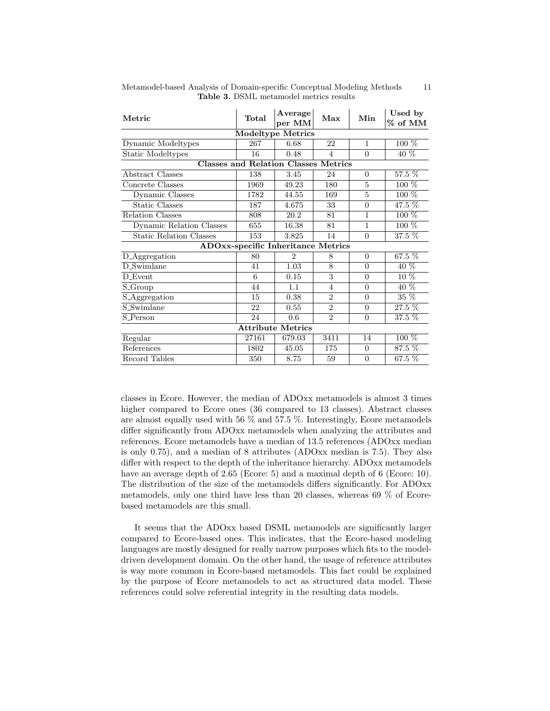| Metric                                      | Total | Average<br>per MM | Max            | Min            | Used by<br>$%$ of MM |  |  |  |  |
|---------------------------------------------|-------|-------------------|----------------|----------------|----------------------|--|--|--|--|
| <b>Modeltype Metrics</b>                    |       |                   |                |                |                      |  |  |  |  |
| Dynamic Modeltypes                          | 267   | 6.68              | 22             | $\mathbf{1}$   | $100\%$              |  |  |  |  |
| <b>Static Modeltypes</b>                    | 16    | 0.48              | 4              | $\theta$       | $40\%$               |  |  |  |  |
| <b>Classes and Relation Classes Metrics</b> |       |                   |                |                |                      |  |  |  |  |
| Abstract Classes                            | 138   | 3.45              | 24             | $\Omega$       | 57.5 %               |  |  |  |  |
| Concrete Classes                            | 1969  | 49.23             | 180            | 5              | $100\%$              |  |  |  |  |
| Dynamic Classes                             | 1782  | 44.55             | 169            | 5              | $100\%$              |  |  |  |  |
| <b>Static Classes</b>                       | 187   | 4.675             | 33             | $\overline{0}$ | 47.5 %               |  |  |  |  |
| Relation Classes                            | 808   | 20.2              | 81             | 1              | $100\%$              |  |  |  |  |
| Dynamic Relation Classes                    | 655   | 16.38             | 81             | 1              | $100\%$              |  |  |  |  |
| <b>Static Relation Classes</b>              | 153   | 3.825             | 14             | $\theta$       | 37.5 %               |  |  |  |  |
| <b>ADOxx-specific Inheritance Metrics</b>   |       |                   |                |                |                      |  |  |  |  |
| D_Aggregation                               | 80    | $\overline{2}$    | 8              | $\overline{0}$ | $67.5\%$             |  |  |  |  |
| D_Swimlane                                  | 41    | 1.03              | 8              | $\overline{0}$ | $40\%$               |  |  |  |  |
| D_Event                                     | 6     | 0.15              | 3              | $\theta$       | $10\%$               |  |  |  |  |
| $S_Group$                                   | 44    | 1.1               | 4              | $\overline{0}$ | $40\%$               |  |  |  |  |
| S_Aggregation                               | 15    | 0.38              | $\overline{2}$ | $\theta$       | $35\%$               |  |  |  |  |
| <b>S_Swimlane</b>                           | 22    | 0.55              | $\overline{2}$ | $\overline{0}$ | 27.5 %               |  |  |  |  |
| S_Person                                    | 24    | 0.6               | $\overline{2}$ | $\theta$       | 37.5 %               |  |  |  |  |
| <b>Attribute Metrics</b>                    |       |                   |                |                |                      |  |  |  |  |
| Regular                                     | 27161 | 679.03            | 3411           | 14             | $100\%$              |  |  |  |  |
| References                                  | 1802  | 45.05             | 175            | $\overline{0}$ | 87.5 %               |  |  |  |  |
| Record Tables                               | 350   | 8.75              | 59             | $\overline{0}$ | 67.5 %               |  |  |  |  |

Metamodel-based Analysis of Domain-specific Conceptual Modeling Methods 11 Table 3. DSML metamodel metrics results

classes in Ecore. However, the median of ADOxx metamodels is almost 3 times higher compared to Ecore ones (36 compared to 13 classes). Abstract classes are almost equally used with 56 % and 57.5 %. Interestingly, Ecore metamodels differ significantly from ADOxx metamodels when analyzing the attributes and references. Ecore metamodels have a median of 13.5 references (ADOxx median is only 0.75), and a median of 8 attributes (ADOxx median is 7.5). They also differ with respect to the depth of the inheritance hierarchy. ADOxx metamodels have an average depth of 2.65 (Ecore: 5) and a maximal depth of 6 (Ecore: 10). The distribution of the size of the metamodels differs significantly. For ADOxx metamodels, only one third have less than 20 classes, whereas 69 % of Ecorebased metamodels are this small.

It seems that the ADOxx based DSML metamodels are significantly larger compared to Ecore-based ones. This indicates, that the Ecore-based modeling languages are mostly designed for really narrow purposes which fits to the modeldriven development domain. On the other hand, the usage of reference attributes is way more common in Ecore-based metamodels. This fact could be explained by the purpose of Ecore metamodels to act as structured data model. These references could solve referential integrity in the resulting data models.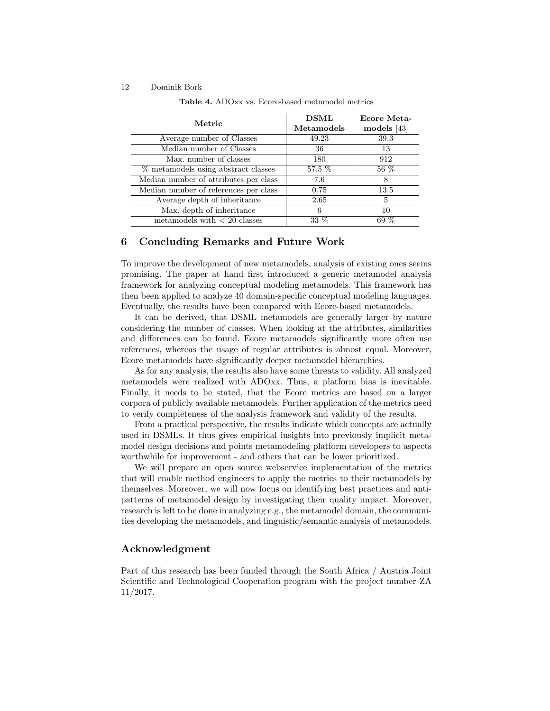| Metric                                | <b>DSML</b><br>Metamodels | Ecore Meta-<br>$\bf{models}$ [43] |  |
|---------------------------------------|---------------------------|-----------------------------------|--|
| Average number of Classes             | 49.23                     | 39.3                              |  |
| Median number of Classes              | 36                        | 13                                |  |
| Max. number of classes                | 180                       | 912                               |  |
| % metamodels using abstract classes   | 57.5 %                    | 56 %                              |  |
| Median number of attributes per class | 7.6                       | 8                                 |  |
| Median number of references per class | 0.75                      | 13.5                              |  |
| Average depth of inheritance          | 2.65                      | 5                                 |  |
| Max. depth of inheritance             | 6                         | 10                                |  |
| metamodels with $< 20$ classes        | 33 %                      |                                   |  |

Table 4. ADOxx vs. Ecore-based metamodel metrics

# 6 Concluding Remarks and Future Work

To improve the development of new metamodels, analysis of existing ones seems promising. The paper at hand first introduced a generic metamodel analysis framework for analyzing conceptual modeling metamodels. This framework has then been applied to analyze 40 domain-specific conceptual modeling languages. Eventually, the results have been compared with Ecore-based metamodels.

It can be derived, that DSML metamodels are generally larger by nature considering the number of classes. When looking at the attributes, similarities and differences can be found. Ecore metamodels significantly more often use references, whereas the usage of regular attributes is almost equal. Moreover, Ecore metamodels have significantly deeper metamodel hierarchies.

As for any analysis, the results also have some threats to validity. All analyzed metamodels were realized with ADOxx. Thus, a platform bias is inevitable. Finally, it needs to be stated, that the Ecore metrics are based on a larger corpora of publicly available metamodels. Further application of the metrics need to verify completeness of the analysis framework and validity of the results.

From a practical perspective, the results indicate which concepts are actually used in DSMLs. It thus gives empirical insights into previously implicit metamodel design decisions and points metamodeling platform developers to aspects worthwhile for improvement - and others that can be lower prioritized.

We will prepare an open source webservice implementation of the metrics that will enable method engineers to apply the metrics to their metamodels by themselves. Moreover, we will now focus on identifying best practices and antipatterns of metamodel design by investigating their quality impact. Moreover, research is left to be done in analyzing e.g., the metamodel domain, the communities developing the metamodels, and linguistic/semantic analysis of metamodels.

### Acknowledgment

Part of this research has been funded through the South Africa / Austria Joint Scientific and Technological Cooperation program with the project number ZA 11/2017.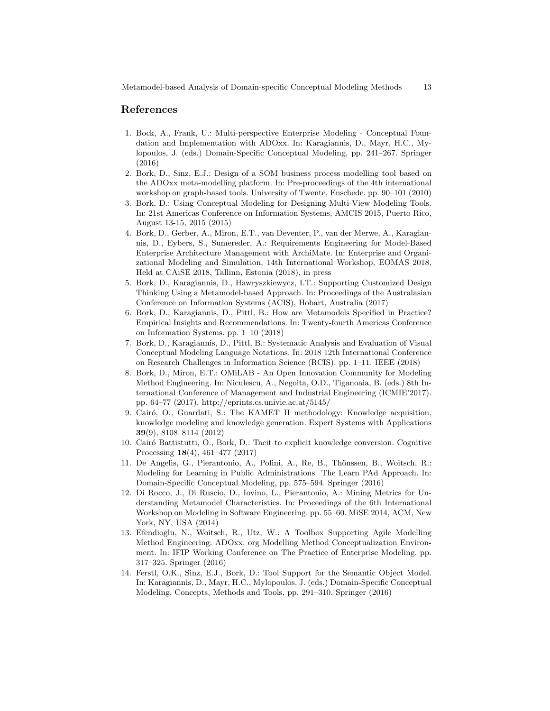# References

- 1. Bock, A., Frank, U.: Multi-perspective Enterprise Modeling Conceptual Foundation and Implementation with ADOxx. In: Karagiannis, D., Mayr, H.C., Mylopoulos, J. (eds.) Domain-Specific Conceptual Modeling, pp. 241–267. Springer (2016)
- 2. Bork, D., Sinz, E.J.: Design of a SOM business process modelling tool based on the ADOxx meta-modelling platform. In: Pre-proceedings of the 4th international workshop on graph-based tools. University of Twente, Enschede. pp. 90–101 (2010)
- 3. Bork, D.: Using Conceptual Modeling for Designing Multi-View Modeling Tools. In: 21st Americas Conference on Information Systems, AMCIS 2015, Puerto Rico, August 13-15, 2015 (2015)
- 4. Bork, D., Gerber, A., Miron, E.T., van Deventer, P., van der Merwe, A., Karagiannis, D., Eybers, S., Sumereder, A.: Requirements Engineering for Model-Based Enterprise Architecture Management with ArchiMate. In: Enterprise and Organizational Modeling and Simulation, 14th International Workshop, EOMAS 2018, Held at CAiSE 2018, Tallinn, Estonia (2018), in press
- 5. Bork, D., Karagiannis, D., Hawryszkiewycz, I.T.: Supporting Customized Design Thinking Using a Metamodel-based Approach. In: Proceedings of the Australasian Conference on Information Systems (ACIS), Hobart, Australia (2017)
- 6. Bork, D., Karagiannis, D., Pittl, B.: How are Metamodels Specified in Practice? Empirical Insights and Recommendations. In: Twenty-fourth Americas Conference on Information Systems. pp. 1–10 (2018)
- 7. Bork, D., Karagiannis, D., Pittl, B.: Systematic Analysis and Evaluation of Visual Conceptual Modeling Language Notations. In: 2018 12th International Conference on Research Challenges in Information Science (RCIS). pp. 1–11. IEEE (2018)
- 8. Bork, D., Miron, E.T.: OMiLAB An Open Innovation Community for Modeling Method Engineering. In: Niculescu, A., Negoita, O.D., Tiganoaia, B. (eds.) 8th International Conference of Management and Industrial Engineering (ICMIE'2017). pp. 64–77 (2017), http://eprints.cs.univie.ac.at/5145/
- 9. Cairó, O., Guardati, S.: The KAMET II methodology: Knowledge acquisition, knowledge modeling and knowledge generation. Expert Systems with Applications 39(9), 8108–8114 (2012)
- 10. Cair´o Battistutti, O., Bork, D.: Tacit to explicit knowledge conversion. Cognitive Processing 18(4), 461–477 (2017)
- 11. De Angelis, G., Pierantonio, A., Polini, A., Re, B., Thönssen, B., Woitsch, R.: Modeling for Learning in Public Administrations The Learn PAd Approach. In: Domain-Specific Conceptual Modeling, pp. 575–594. Springer (2016)
- 12. Di Rocco, J., Di Ruscio, D., Iovino, L., Pierantonio, A.: Mining Metrics for Understanding Metamodel Characteristics. In: Proceedings of the 6th International Workshop on Modeling in Software Engineering. pp. 55–60. MiSE 2014, ACM, New York, NY, USA (2014)
- 13. Efendioglu, N., Woitsch, R., Utz, W.: A Toolbox Supporting Agile Modelling Method Engineering: ADOxx. org Modelling Method Conceptualization Environment. In: IFIP Working Conference on The Practice of Enterprise Modeling. pp. 317–325. Springer (2016)
- 14. Ferstl, O.K., Sinz, E.J., Bork, D.: Tool Support for the Semantic Object Model. In: Karagiannis, D., Mayr, H.C., Mylopoulos, J. (eds.) Domain-Specific Conceptual Modeling, Concepts, Methods and Tools, pp. 291–310. Springer (2016)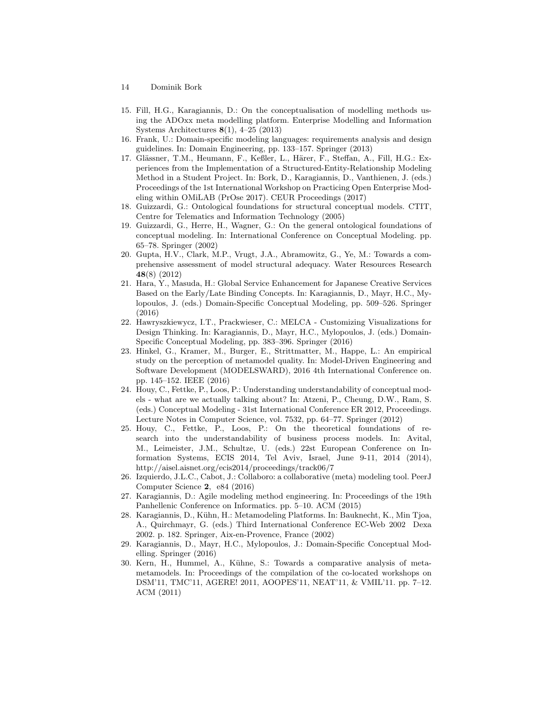- 14 Dominik Bork
- 15. Fill, H.G., Karagiannis, D.: On the conceptualisation of modelling methods using the ADOxx meta modelling platform. Enterprise Modelling and Information Systems Architectures 8(1), 4–25 (2013)
- 16. Frank, U.: Domain-specific modeling languages: requirements analysis and design guidelines. In: Domain Engineering, pp. 133–157. Springer (2013)
- 17. Glässner, T.M., Heumann, F., Keßler, L., Härer, F., Steffan, A., Fill, H.G.: Experiences from the Implementation of a Structured-Entity-Relationship Modeling Method in a Student Project. In: Bork, D., Karagiannis, D., Vanthienen, J. (eds.) Proceedings of the 1st International Workshop on Practicing Open Enterprise Modeling within OMiLAB (PrOse 2017). CEUR Proceedings (2017)
- 18. Guizzardi, G.: Ontological foundations for structural conceptual models. CTIT, Centre for Telematics and Information Technology (2005)
- 19. Guizzardi, G., Herre, H., Wagner, G.: On the general ontological foundations of conceptual modeling. In: International Conference on Conceptual Modeling. pp. 65–78. Springer (2002)
- 20. Gupta, H.V., Clark, M.P., Vrugt, J.A., Abramowitz, G., Ye, M.: Towards a comprehensive assessment of model structural adequacy. Water Resources Research 48(8) (2012)
- 21. Hara, Y., Masuda, H.: Global Service Enhancement for Japanese Creative Services Based on the Early/Late Binding Concepts. In: Karagiannis, D., Mayr, H.C., Mylopoulos, J. (eds.) Domain-Specific Conceptual Modeling, pp. 509–526. Springer (2016)
- 22. Hawryszkiewycz, I.T., Prackwieser, C.: MELCA Customizing Visualizations for Design Thinking. In: Karagiannis, D., Mayr, H.C., Mylopoulos, J. (eds.) Domain-Specific Conceptual Modeling, pp. 383–396. Springer (2016)
- 23. Hinkel, G., Kramer, M., Burger, E., Strittmatter, M., Happe, L.: An empirical study on the perception of metamodel quality. In: Model-Driven Engineering and Software Development (MODELSWARD), 2016 4th International Conference on. pp. 145–152. IEEE (2016)
- 24. Houy, C., Fettke, P., Loos, P.: Understanding understandability of conceptual models - what are we actually talking about? In: Atzeni, P., Cheung, D.W., Ram, S. (eds.) Conceptual Modeling - 31st International Conference ER 2012, Proceedings. Lecture Notes in Computer Science, vol. 7532, pp. 64–77. Springer (2012)
- 25. Houy, C., Fettke, P., Loos, P.: On the theoretical foundations of research into the understandability of business process models. In: Avital, M., Leimeister, J.M., Schultze, U. (eds.) 22st European Conference on Information Systems, ECIS 2014, Tel Aviv, Israel, June 9-11, 2014 (2014), http://aisel.aisnet.org/ecis2014/proceedings/track06/7
- 26. Izquierdo, J.L.C., Cabot, J.: Collaboro: a collaborative (meta) modeling tool. PeerJ Computer Science 2, e84 (2016)
- 27. Karagiannis, D.: Agile modeling method engineering. In: Proceedings of the 19th Panhellenic Conference on Informatics. pp. 5–10. ACM (2015)
- 28. Karagiannis, D., Kühn, H.: Metamodeling Platforms. In: Bauknecht, K., Min Tjoa, A., Quirchmayr, G. (eds.) Third International Conference EC-Web 2002 Dexa 2002. p. 182. Springer, Aix-en-Provence, France (2002)
- 29. Karagiannis, D., Mayr, H.C., Mylopoulos, J.: Domain-Specific Conceptual Modelling. Springer (2016)
- 30. Kern, H., Hummel, A., Kühne, S.: Towards a comparative analysis of metametamodels. In: Proceedings of the compilation of the co-located workshops on DSM'11, TMC'11, AGERE! 2011, AOOPES'11, NEAT'11, & VMIL'11. pp. 7–12. ACM (2011)